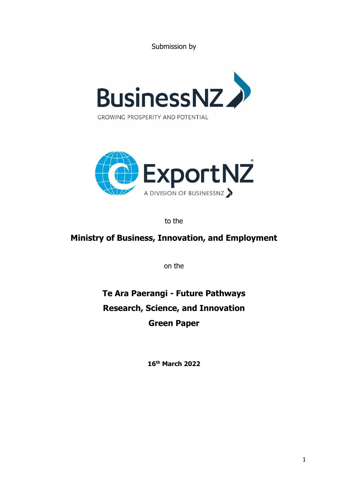Submission by





to the

# **Ministry of Business, Innovation, and Employment**

on the

# **Te Ara Paerangi - Future Pathways Research, Science, and Innovation Green Paper**

**16th March 2022**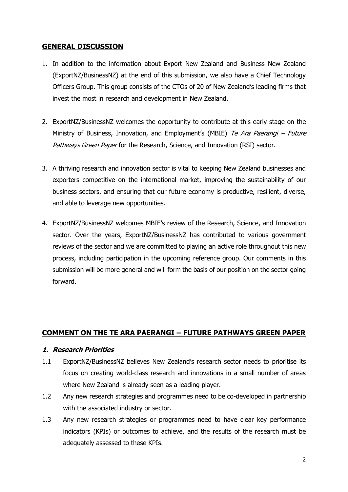# **GENERAL DISCUSSION**

- 1. In addition to the information about Export New Zealand and Business New Zealand (ExportNZ/BusinessNZ) at the end of this submission, we also have a Chief Technology Officers Group. This group consists of the CTOs of 20 of New Zealand's leading firms that invest the most in research and development in New Zealand.
- 2. ExportNZ/BusinessNZ welcomes the opportunity to contribute at this early stage on the Ministry of Business, Innovation, and Employment's (MBIE) Te Ara Paerangi – Future Pathways Green Paper for the Research, Science, and Innovation (RSI) sector.
- 3. A thriving research and innovation sector is vital to keeping New Zealand businesses and exporters competitive on the international market, improving the sustainability of our business sectors, and ensuring that our future economy is productive, resilient, diverse, and able to leverage new opportunities.
- 4. ExportNZ/BusinessNZ welcomes MBIE's review of the Research, Science, and Innovation sector. Over the years, ExportNZ/BusinessNZ has contributed to various government reviews of the sector and we are committed to playing an active role throughout this new process, including participation in the upcoming reference group. Our comments in this submission will be more general and will form the basis of our position on the sector going forward.

# **COMMENT ON THE TE ARA PAERANGI – FUTURE PATHWAYS GREEN PAPER**

#### **1. Research Priorities**

- 1.1 ExportNZ/BusinessNZ believes New Zealand's research sector needs to prioritise its focus on creating world-class research and innovations in a small number of areas where New Zealand is already seen as a leading player.
- 1.2 Any new research strategies and programmes need to be co-developed in partnership with the associated industry or sector.
- 1.3 Any new research strategies or programmes need to have clear key performance indicators (KPIs) or outcomes to achieve, and the results of the research must be adequately assessed to these KPIs.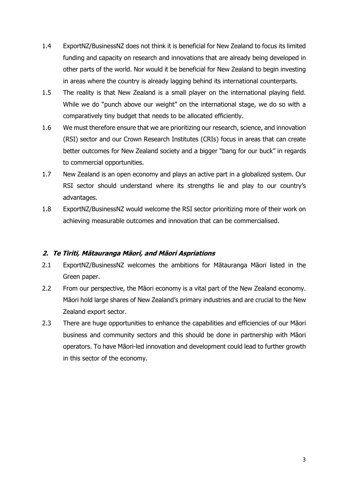- 1.4 ExportNZ/BusinessNZ does not think it is beneficial for New Zealand to focus its limited funding and capacity on research and innovations that are already being developed in other parts of the world. Nor would it be beneficial for New Zealand to begin investing in areas where the country is already lagging behind its international counterparts.
- 1.5 The reality is that New Zealand is a small player on the international playing field. While we do "punch above our weight" on the international stage, we do so with a comparatively tiny budget that needs to be allocated efficiently.
- 1.6 We must therefore ensure that we are prioritizing our research, science, and innovation (RSI) sector and our Crown Research Institutes (CRIs) focus in areas that can create better outcomes for New Zealand society and a bigger "bang for our buck" in regards to commercial opportunities.
- 1.7 New Zealand is an open economy and plays an active part in a globalized system. Our RSI sector should understand where its strengths lie and play to our country's advantages.
- 1.8 ExportNZ/BusinessNZ would welcome the RSI sector prioritizing more of their work on achieving measurable outcomes and innovation that can be commercialised.

#### **2. Te Tiriti, Mātauranga Māori, and Māori Aspriations**

- 2.1 ExportNZ/BusinessNZ welcomes the ambitions for Mātauranga Māori listed in the Green paper.
- 2.2 From our perspective, the Māori economy is a vital part of the New Zealand economy. Māori hold large shares of New Zealand's primary industries and are crucial to the New Zealand export sector.
- 2.3 There are huge opportunities to enhance the capabilities and efficiencies of our Māori business and community sectors and this should be done in partnership with Māori operators. To have Māori-led innovation and development could lead to further growth in this sector of the economy.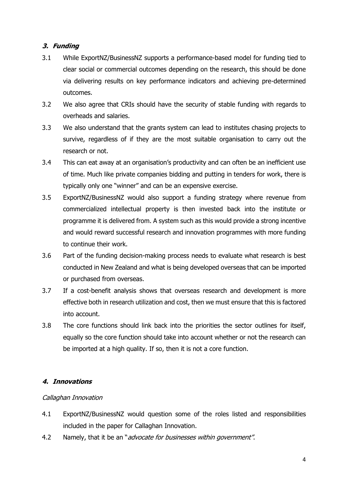# **3. Funding**

- 3.1 While ExportNZ/BusinessNZ supports a performance-based model for funding tied to clear social or commercial outcomes depending on the research, this should be done via delivering results on key performance indicators and achieving pre-determined outcomes.
- 3.2 We also agree that CRIs should have the security of stable funding with regards to overheads and salaries.
- 3.3 We also understand that the grants system can lead to institutes chasing projects to survive, regardless of if they are the most suitable organisation to carry out the research or not.
- 3.4 This can eat away at an organisation's productivity and can often be an inefficient use of time. Much like private companies bidding and putting in tenders for work, there is typically only one "winner" and can be an expensive exercise.
- 3.5 ExportNZ/BusinessNZ would also support a funding strategy where revenue from commercialized intellectual property is then invested back into the institute or programme it is delivered from. A system such as this would provide a strong incentive and would reward successful research and innovation programmes with more funding to continue their work.
- 3.6 Part of the funding decision-making process needs to evaluate what research is best conducted in New Zealand and what is being developed overseas that can be imported or purchased from overseas.
- 3.7 If a cost-benefit analysis shows that overseas research and development is more effective both in research utilization and cost, then we must ensure that this is factored into account.
- 3.8 The core functions should link back into the priorities the sector outlines for itself, equally so the core function should take into account whether or not the research can be imported at a high quality. If so, then it is not a core function.

#### **4. Innovations**

#### Callaghan Innovation

- 4.1 ExportNZ/BusinessNZ would question some of the roles listed and responsibilities included in the paper for Callaghan Innovation.
- 4.2 Namely, that it be an "*advocate for businesses within government"*.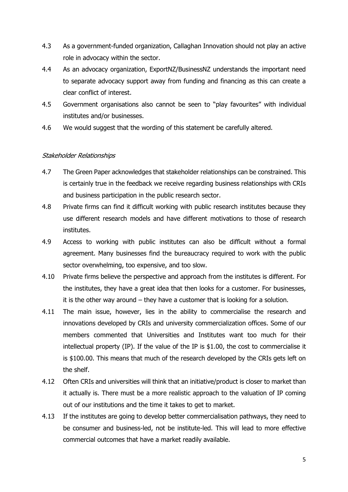- 4.3 As a government-funded organization, Callaghan Innovation should not play an active role in advocacy within the sector.
- 4.4 As an advocacy organization, ExportNZ/BusinessNZ understands the important need to separate advocacy support away from funding and financing as this can create a clear conflict of interest.
- 4.5 Government organisations also cannot be seen to "play favourites" with individual institutes and/or businesses.
- 4.6 We would suggest that the wording of this statement be carefully altered.

#### Stakeholder Relationships

- 4.7 The Green Paper acknowledges that stakeholder relationships can be constrained. This is certainly true in the feedback we receive regarding business relationships with CRIs and business participation in the public research sector.
- 4.8 Private firms can find it difficult working with public research institutes because they use different research models and have different motivations to those of research institutes.
- 4.9 Access to working with public institutes can also be difficult without a formal agreement. Many businesses find the bureaucracy required to work with the public sector overwhelming, too expensive, and too slow.
- 4.10 Private firms believe the perspective and approach from the institutes is different. For the institutes, they have a great idea that then looks for a customer. For businesses, it is the other way around – they have a customer that is looking for a solution.
- 4.11 The main issue, however, lies in the ability to commercialise the research and innovations developed by CRIs and university commercialization offices. Some of our members commented that Universities and Institutes want too much for their intellectual property (IP). If the value of the IP is \$1.00, the cost to commercialise it is \$100.00. This means that much of the research developed by the CRIs gets left on the shelf.
- 4.12 Often CRIs and universities will think that an initiative/product is closer to market than it actually is. There must be a more realistic approach to the valuation of IP coming out of our institutions and the time it takes to get to market.
- 4.13 If the institutes are going to develop better commercialisation pathways, they need to be consumer and business-led, not be institute-led. This will lead to more effective commercial outcomes that have a market readily available.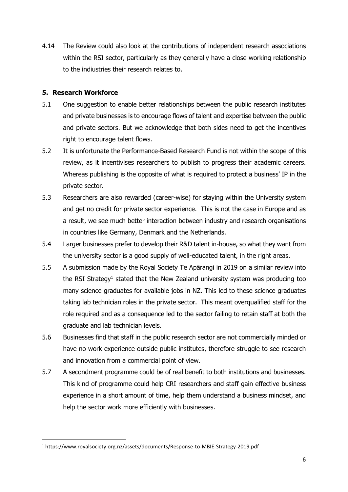4.14 The Review could also look at the contributions of independent research associations within the RSI sector, particularly as they generally have a close working relationship to the indiustries their research relates to.

# **5. Research Workforce**

- 5.1 One suggestion to enable better relationships between the public research institutes and private businesses is to encourage flows of talent and expertise between the public and private sectors. But we acknowledge that both sides need to get the incentives right to encourage talent flows.
- 5.2 It is unfortunate the Performance-Based Research Fund is not within the scope of this review, as it incentivises researchers to publish to progress their academic careers. Whereas publishing is the opposite of what is required to protect a business' IP in the private sector.
- 5.3 Researchers are also rewarded (career-wise) for staying within the University system and get no credit for private sector experience. This is not the case in Europe and as a result, we see much better interaction between industry and research organisations in countries like Germany, Denmark and the Netherlands.
- 5.4 Larger businesses prefer to develop their R&D talent in-house, so what they want from the university sector is a good supply of well-educated talent, in the right areas.
- 5.5 A submission made by the Royal Society Te Apārangi in 2019 on a similar review into the RSI Strategy<sup>1</sup> stated that the New Zealand university system was producing too many science graduates for available jobs in NZ. This led to these science graduates taking lab technician roles in the private sector. This meant overqualified staff for the role required and as a consequence led to the sector failing to retain staff at both the graduate and lab technician levels.
- 5.6 Businesses find that staff in the public research sector are not commercially minded or have no work experience outside public institutes, therefore struggle to see research and innovation from a commercial point of view.
- 5.7 A secondment programme could be of real benefit to both institutions and businesses. This kind of programme could help CRI researchers and staff gain effective business experience in a short amount of time, help them understand a business mindset, and help the sector work more efficiently with businesses.

<sup>1</sup> https://www.royalsociety.org.nz/assets/documents/Response-to-MBIE-Strategy-2019.pdf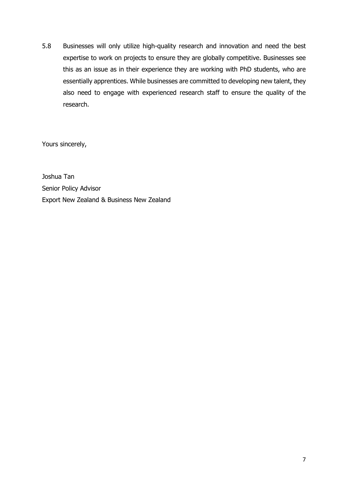5.8 Businesses will only utilize high-quality research and innovation and need the best expertise to work on projects to ensure they are globally competitive. Businesses see this as an issue as in their experience they are working with PhD students, who are essentially apprentices. While businesses are committed to developing new talent, they also need to engage with experienced research staff to ensure the quality of the research.

Yours sincerely,

Joshua Tan Senior Policy Advisor Export New Zealand & Business New Zealand